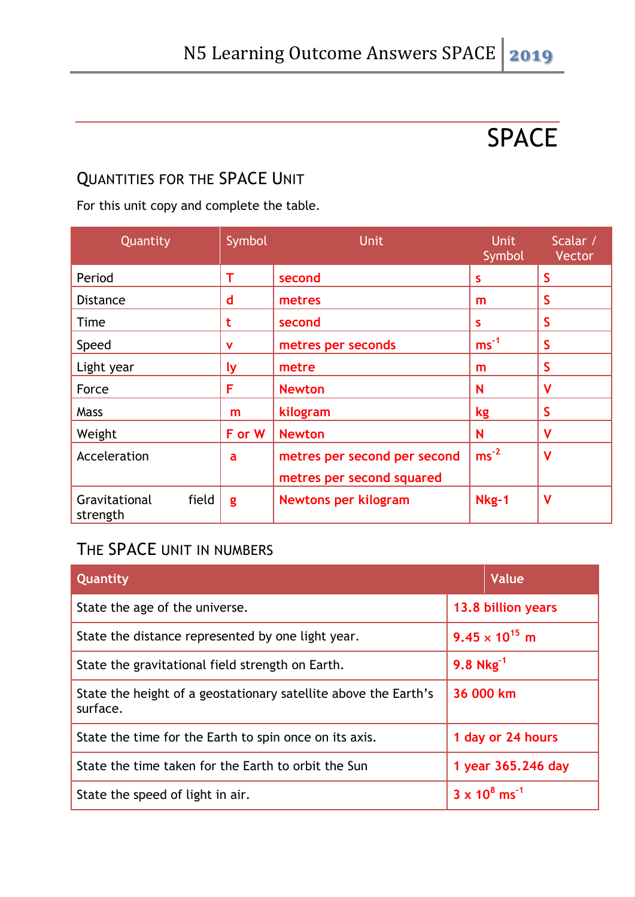# SPACE

#### QUANTITIES FOR THE SPACE UNIT

For this unit copy and complete the table.

| Quantity                           | Symbol       | <b>Unit</b>                                               | <b>Unit</b><br>Symbol | Scalar /<br>Vector |
|------------------------------------|--------------|-----------------------------------------------------------|-----------------------|--------------------|
| Period                             | т            | second                                                    | S                     | S                  |
| <b>Distance</b>                    | $\mathsf{d}$ | metres                                                    | m                     | S                  |
| Time                               | t            | second                                                    | S                     | S                  |
| Speed                              | v            | metres per seconds                                        | $ms^{-1}$             | $\mathsf{S}$       |
| Light year                         | <u>ly</u>    | metre                                                     | m                     | $\mathsf{S}$       |
| Force                              | F            | <b>Newton</b>                                             | N                     | V                  |
| <b>Mass</b>                        | m            | kilogram                                                  | kg                    | S                  |
| Weight                             | F or W       | <b>Newton</b>                                             | N                     | V                  |
| Acceleration                       | a            | metres per second per second<br>metres per second squared | $ms^{-2}$             | $\mathsf{V}$       |
| field<br>Gravitational<br>strength | g            | Newtons per kilogram                                      | Nkg-1                 | $\mathsf{V}$       |

#### THE SPACE UNIT IN NUMBERS

| Quantity                                                                    | Value                            |
|-----------------------------------------------------------------------------|----------------------------------|
| State the age of the universe.                                              | 13.8 billion years               |
| State the distance represented by one light year.                           | $9.45 \times 10^{15}$ m          |
| State the gravitational field strength on Earth.                            | 9.8 $Nkg^{-1}$                   |
| State the height of a geostationary satellite above the Earth's<br>surface. | 36 000 km                        |
| State the time for the Earth to spin once on its axis.                      | 1 day or 24 hours                |
| State the time taken for the Earth to orbit the Sun                         | 1 year 365.246 day               |
| State the speed of light in air.                                            | $3 \times 10^8$ ms <sup>-1</sup> |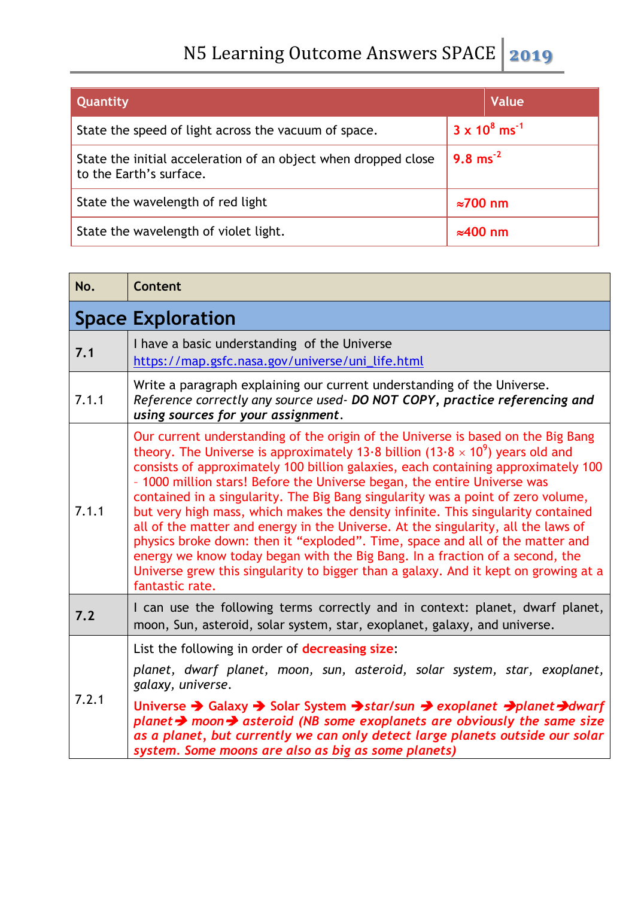| Quantity                                                                                  | Value                            |
|-------------------------------------------------------------------------------------------|----------------------------------|
| State the speed of light across the vacuum of space.                                      | $3 \times 10^8$ ms <sup>-1</sup> |
| State the initial acceleration of an object when dropped close<br>to the Earth's surface. | $9.8 \text{ ms}^{-2}$            |
| State the wavelength of red light                                                         | $\approx 700$ nm                 |
| State the wavelength of violet light.                                                     | $\approx$ 400 nm                 |

| No.   | Content                                                                                                                                                                                                                                                                                                                                                                                                                                                                                                                                                                                                                                                                                                                                                                                                                                                                                        |
|-------|------------------------------------------------------------------------------------------------------------------------------------------------------------------------------------------------------------------------------------------------------------------------------------------------------------------------------------------------------------------------------------------------------------------------------------------------------------------------------------------------------------------------------------------------------------------------------------------------------------------------------------------------------------------------------------------------------------------------------------------------------------------------------------------------------------------------------------------------------------------------------------------------|
|       | <b>Space Exploration</b>                                                                                                                                                                                                                                                                                                                                                                                                                                                                                                                                                                                                                                                                                                                                                                                                                                                                       |
| 7.1   | I have a basic understanding of the Universe<br>https://map.gsfc.nasa.gov/universe/uni_life.html                                                                                                                                                                                                                                                                                                                                                                                                                                                                                                                                                                                                                                                                                                                                                                                               |
| 7.1.1 | Write a paragraph explaining our current understanding of the Universe.<br>Reference correctly any source used- DO NOT COPY, practice referencing and<br>using sources for your assignment.                                                                                                                                                                                                                                                                                                                                                                                                                                                                                                                                                                                                                                                                                                    |
| 7.1.1 | Our current understanding of the origin of the Universe is based on the Big Bang<br>theory. The Universe is approximately 13.8 billion (13.8 $\times$ 10 <sup>9</sup> ) years old and<br>consists of approximately 100 billion galaxies, each containing approximately 100<br>- 1000 million stars! Before the Universe began, the entire Universe was<br>contained in a singularity. The Big Bang singularity was a point of zero volume,<br>but very high mass, which makes the density infinite. This singularity contained<br>all of the matter and energy in the Universe. At the singularity, all the laws of<br>physics broke down: then it "exploded". Time, space and all of the matter and<br>energy we know today began with the Big Bang. In a fraction of a second, the<br>Universe grew this singularity to bigger than a galaxy. And it kept on growing at a<br>fantastic rate. |
| 7.2   | I can use the following terms correctly and in context: planet, dwarf planet,<br>moon, Sun, asteroid, solar system, star, exoplanet, galaxy, and universe.                                                                                                                                                                                                                                                                                                                                                                                                                                                                                                                                                                                                                                                                                                                                     |
| 7.2.1 | List the following in order of decreasing size:<br>planet, dwarf planet, moon, sun, asteroid, solar system, star, exoplanet,                                                                                                                                                                                                                                                                                                                                                                                                                                                                                                                                                                                                                                                                                                                                                                   |
|       | galaxy, universe.<br>Universe $\rightarrow$ Galaxy $\rightarrow$ Solar System $\rightarrow$ star/sun $\rightarrow$ exoplanet $\rightarrow$ planet $\rightarrow$ dwarf<br>planet $\rightarrow$ moon $\rightarrow$ asteroid (NB some exoplanets are obviously the same size<br>as a planet, but currently we can only detect large planets outside our solar                                                                                                                                                                                                                                                                                                                                                                                                                                                                                                                                     |
|       | system. Some moons are also as big as some planets)                                                                                                                                                                                                                                                                                                                                                                                                                                                                                                                                                                                                                                                                                                                                                                                                                                            |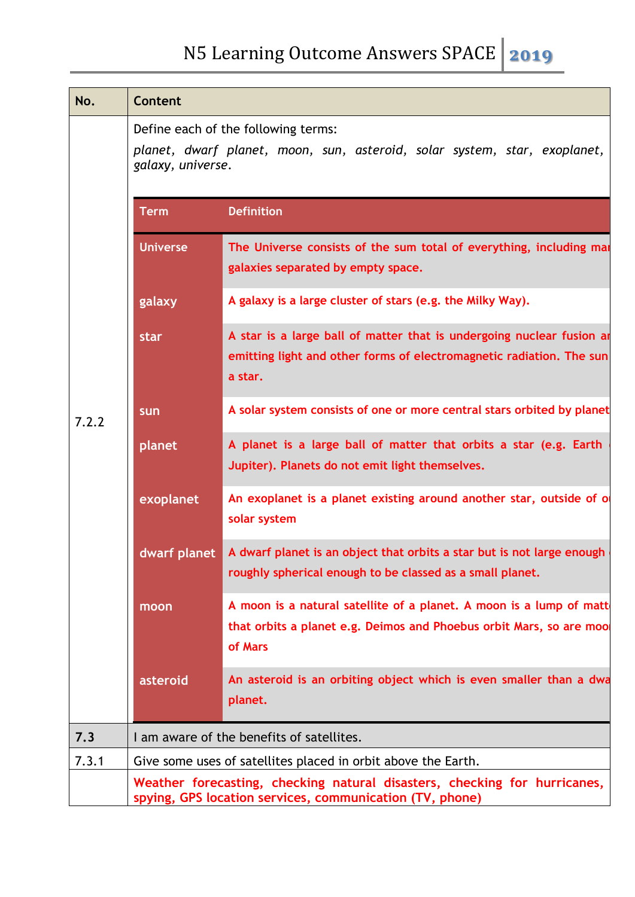| No.   | Content                                                                                                                               |                                                                                                                                                          |  |  |
|-------|---------------------------------------------------------------------------------------------------------------------------------------|----------------------------------------------------------------------------------------------------------------------------------------------------------|--|--|
|       | galaxy, universe.                                                                                                                     | Define each of the following terms:<br>planet, dwarf planet, moon, sun, asteroid, solar system, star, exoplanet,                                         |  |  |
|       | <b>Term</b>                                                                                                                           | <b>Definition</b>                                                                                                                                        |  |  |
|       | <b>Universe</b>                                                                                                                       | The Universe consists of the sum total of everything, including mai<br>galaxies separated by empty space.                                                |  |  |
|       | galaxy                                                                                                                                | A galaxy is a large cluster of stars (e.g. the Milky Way).                                                                                               |  |  |
|       | star                                                                                                                                  | A star is a large ball of matter that is undergoing nuclear fusion ar<br>emitting light and other forms of electromagnetic radiation. The sun<br>a star. |  |  |
| 7.2.2 | sun                                                                                                                                   | A solar system consists of one or more central stars orbited by planet                                                                                   |  |  |
|       | planet                                                                                                                                | A planet is a large ball of matter that orbits a star (e.g. Earth<br>Jupiter). Planets do not emit light themselves.                                     |  |  |
|       | exoplanet                                                                                                                             | An exoplanet is a planet existing around another star, outside of o<br>solar system                                                                      |  |  |
|       | dwarf planet                                                                                                                          | A dwarf planet is an object that orbits a star but is not large enough<br>roughly spherical enough to be classed as a small planet.                      |  |  |
|       | moon                                                                                                                                  | A moon is a natural satellite of a planet. A moon is a lump of matt<br>that orbits a planet e.g. Deimos and Phoebus orbit Mars, so are moo<br>of Mars    |  |  |
|       | asteroid                                                                                                                              | An asteroid is an orbiting object which is even smaller than a dwa<br>planet.                                                                            |  |  |
| 7.3   | I am aware of the benefits of satellites.                                                                                             |                                                                                                                                                          |  |  |
| 7.3.1 |                                                                                                                                       | Give some uses of satellites placed in orbit above the Earth.                                                                                            |  |  |
|       | Weather forecasting, checking natural disasters, checking for hurricanes,<br>spying, GPS location services, communication (TV, phone) |                                                                                                                                                          |  |  |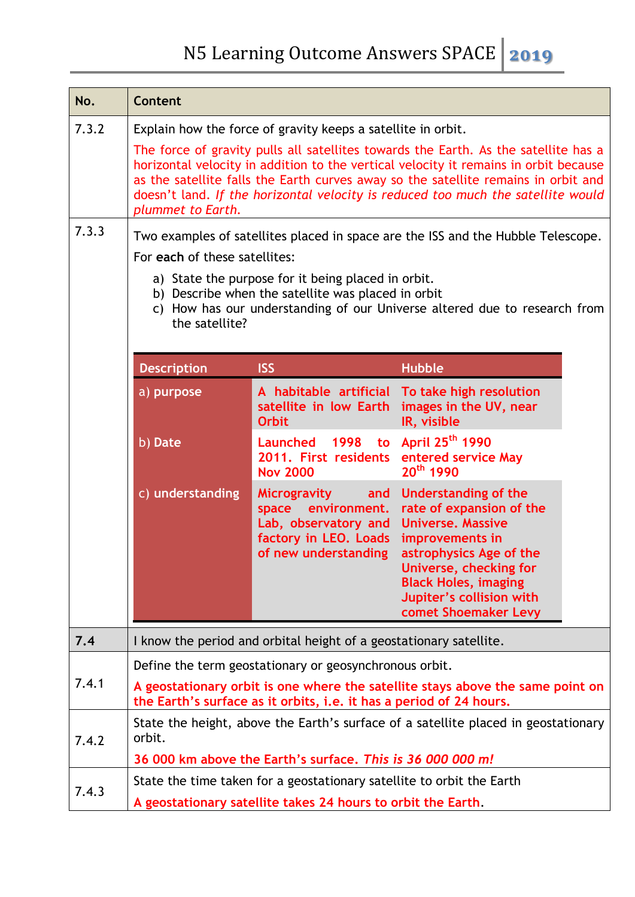| No.            | <b>Content</b>                                                                                                                                                                                                                                                                                                                                                                                                                                                                                                                                                                                                                                                                                                                                                                |                                                                                                                                       |                                                                                                                                                                                                                                         |  |
|----------------|-------------------------------------------------------------------------------------------------------------------------------------------------------------------------------------------------------------------------------------------------------------------------------------------------------------------------------------------------------------------------------------------------------------------------------------------------------------------------------------------------------------------------------------------------------------------------------------------------------------------------------------------------------------------------------------------------------------------------------------------------------------------------------|---------------------------------------------------------------------------------------------------------------------------------------|-----------------------------------------------------------------------------------------------------------------------------------------------------------------------------------------------------------------------------------------|--|
| 7.3.2<br>7.3.3 | Explain how the force of gravity keeps a satellite in orbit.<br>The force of gravity pulls all satellites towards the Earth. As the satellite has a<br>horizontal velocity in addition to the vertical velocity it remains in orbit because<br>as the satellite falls the Earth curves away so the satellite remains in orbit and<br>doesn't land. If the horizontal velocity is reduced too much the satellite would<br>plummet to Earth.<br>Two examples of satellites placed in space are the ISS and the Hubble Telescope.<br>For each of these satellites:<br>a) State the purpose for it being placed in orbit.<br>b) Describe when the satellite was placed in orbit<br>How has our understanding of our Universe altered due to research from<br>C)<br>the satellite? |                                                                                                                                       |                                                                                                                                                                                                                                         |  |
|                | <b>Description</b>                                                                                                                                                                                                                                                                                                                                                                                                                                                                                                                                                                                                                                                                                                                                                            | <b>ISS</b>                                                                                                                            | <b>Hubble</b>                                                                                                                                                                                                                           |  |
|                | a) purpose                                                                                                                                                                                                                                                                                                                                                                                                                                                                                                                                                                                                                                                                                                                                                                    | satellite in low Earth<br><b>Orbit</b>                                                                                                | A habitable artificial To take high resolution<br>images in the UV, near<br>IR, visible                                                                                                                                                 |  |
|                | b) Date                                                                                                                                                                                                                                                                                                                                                                                                                                                                                                                                                                                                                                                                                                                                                                       | to<br>Launched 1998<br>2011. First residents<br><b>Nov 2000</b>                                                                       | April 25 <sup>th</sup> 1990<br>entered service May<br>20 <sup>th</sup> 1990                                                                                                                                                             |  |
|                | c) understanding                                                                                                                                                                                                                                                                                                                                                                                                                                                                                                                                                                                                                                                                                                                                                              | <b>Microgravity</b><br>and<br>space environment.<br>Lab, observatory and<br>factory in LEO. Loads<br>of new understanding             | Understanding of the<br>rate of expansion of the<br><b>Universe, Massive</b><br>improvements in<br>astrophysics Age of the<br>Universe, checking for<br><b>Black Holes, imaging</b><br>Jupiter's collision with<br>comet Shoemaker Levy |  |
| 7.4            |                                                                                                                                                                                                                                                                                                                                                                                                                                                                                                                                                                                                                                                                                                                                                                               | I know the period and orbital height of a geostationary satellite.                                                                    |                                                                                                                                                                                                                                         |  |
| 7.4.1          | Define the term geostationary or geosynchronous orbit.<br>A geostationary orbit is one where the satellite stays above the same point on<br>the Earth's surface as it orbits, i.e. it has a period of 24 hours.                                                                                                                                                                                                                                                                                                                                                                                                                                                                                                                                                               |                                                                                                                                       |                                                                                                                                                                                                                                         |  |
| 7.4.2          | State the height, above the Earth's surface of a satellite placed in geostationary<br>orbit.<br>36 000 km above the Earth's surface. This is 36 000 000 m!                                                                                                                                                                                                                                                                                                                                                                                                                                                                                                                                                                                                                    |                                                                                                                                       |                                                                                                                                                                                                                                         |  |
| 7.4.3          |                                                                                                                                                                                                                                                                                                                                                                                                                                                                                                                                                                                                                                                                                                                                                                               | State the time taken for a geostationary satellite to orbit the Earth<br>A geostationary satellite takes 24 hours to orbit the Earth. |                                                                                                                                                                                                                                         |  |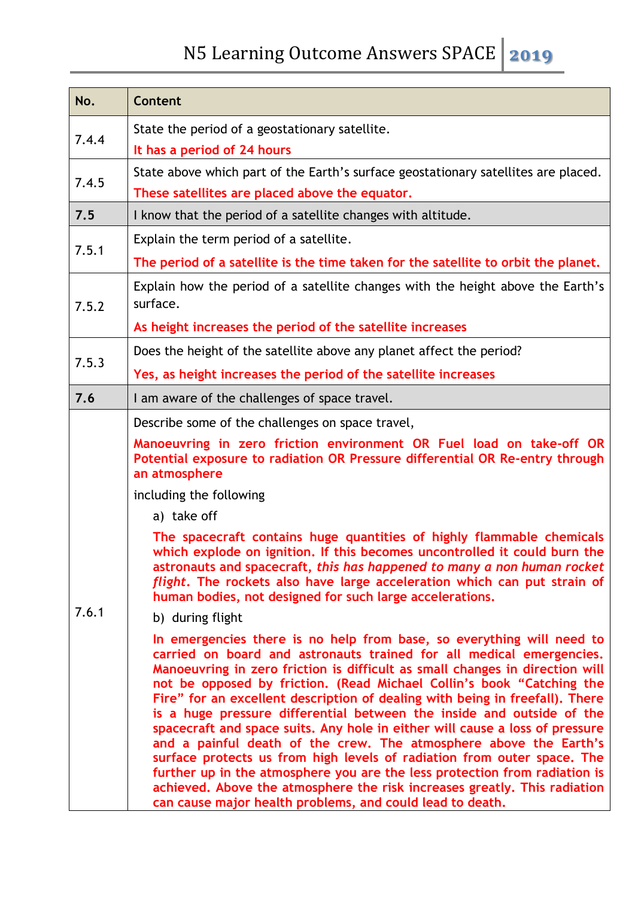| No.   | Content                                                                                                                                                                                                                                                                                                                                                                                                                                                                                                                                                                                                                                                                                                                                                                                                                                                                                                                                                                                                                                                                                                                                                                                                                                                                                                                                                                                                                                                                                                                                                                                     |
|-------|---------------------------------------------------------------------------------------------------------------------------------------------------------------------------------------------------------------------------------------------------------------------------------------------------------------------------------------------------------------------------------------------------------------------------------------------------------------------------------------------------------------------------------------------------------------------------------------------------------------------------------------------------------------------------------------------------------------------------------------------------------------------------------------------------------------------------------------------------------------------------------------------------------------------------------------------------------------------------------------------------------------------------------------------------------------------------------------------------------------------------------------------------------------------------------------------------------------------------------------------------------------------------------------------------------------------------------------------------------------------------------------------------------------------------------------------------------------------------------------------------------------------------------------------------------------------------------------------|
| 7.4.4 | State the period of a geostationary satellite.<br>It has a period of 24 hours                                                                                                                                                                                                                                                                                                                                                                                                                                                                                                                                                                                                                                                                                                                                                                                                                                                                                                                                                                                                                                                                                                                                                                                                                                                                                                                                                                                                                                                                                                               |
| 7.4.5 | State above which part of the Earth's surface geostationary satellites are placed.<br>These satellites are placed above the equator.                                                                                                                                                                                                                                                                                                                                                                                                                                                                                                                                                                                                                                                                                                                                                                                                                                                                                                                                                                                                                                                                                                                                                                                                                                                                                                                                                                                                                                                        |
| 7.5   | I know that the period of a satellite changes with altitude.                                                                                                                                                                                                                                                                                                                                                                                                                                                                                                                                                                                                                                                                                                                                                                                                                                                                                                                                                                                                                                                                                                                                                                                                                                                                                                                                                                                                                                                                                                                                |
| 7.5.1 | Explain the term period of a satellite.                                                                                                                                                                                                                                                                                                                                                                                                                                                                                                                                                                                                                                                                                                                                                                                                                                                                                                                                                                                                                                                                                                                                                                                                                                                                                                                                                                                                                                                                                                                                                     |
|       | The period of a satellite is the time taken for the satellite to orbit the planet.                                                                                                                                                                                                                                                                                                                                                                                                                                                                                                                                                                                                                                                                                                                                                                                                                                                                                                                                                                                                                                                                                                                                                                                                                                                                                                                                                                                                                                                                                                          |
| 7.5.2 | Explain how the period of a satellite changes with the height above the Earth's<br>surface.                                                                                                                                                                                                                                                                                                                                                                                                                                                                                                                                                                                                                                                                                                                                                                                                                                                                                                                                                                                                                                                                                                                                                                                                                                                                                                                                                                                                                                                                                                 |
|       | As height increases the period of the satellite increases                                                                                                                                                                                                                                                                                                                                                                                                                                                                                                                                                                                                                                                                                                                                                                                                                                                                                                                                                                                                                                                                                                                                                                                                                                                                                                                                                                                                                                                                                                                                   |
| 7.5.3 | Does the height of the satellite above any planet affect the period?                                                                                                                                                                                                                                                                                                                                                                                                                                                                                                                                                                                                                                                                                                                                                                                                                                                                                                                                                                                                                                                                                                                                                                                                                                                                                                                                                                                                                                                                                                                        |
|       | Yes, as height increases the period of the satellite increases                                                                                                                                                                                                                                                                                                                                                                                                                                                                                                                                                                                                                                                                                                                                                                                                                                                                                                                                                                                                                                                                                                                                                                                                                                                                                                                                                                                                                                                                                                                              |
| 7.6   | I am aware of the challenges of space travel.                                                                                                                                                                                                                                                                                                                                                                                                                                                                                                                                                                                                                                                                                                                                                                                                                                                                                                                                                                                                                                                                                                                                                                                                                                                                                                                                                                                                                                                                                                                                               |
| 7.6.1 | Describe some of the challenges on space travel,<br>Manoeuvring in zero friction environment OR Fuel load on take-off OR<br>Potential exposure to radiation OR Pressure differential OR Re-entry through<br>an atmosphere<br>including the following<br>a) take off<br>The spacecraft contains huge quantities of highly flammable chemicals<br>which explode on ignition. If this becomes uncontrolled it could burn the<br>astronauts and spacecraft, this has happened to many a non human rocket<br>flight. The rockets also have large acceleration which can put strain of<br>human bodies, not designed for such large accelerations.<br>b) during flight<br>In emergencies there is no help from base, so everything will need to<br>carried on board and astronauts trained for all medical emergencies.<br>Manoeuvring in zero friction is difficult as small changes in direction will<br>not be opposed by friction. (Read Michael Collin's book "Catching the<br>Fire" for an excellent description of dealing with being in freefall). There<br>is a huge pressure differential between the inside and outside of the<br>spacecraft and space suits. Any hole in either will cause a loss of pressure<br>and a painful death of the crew. The atmosphere above the Earth's<br>surface protects us from high levels of radiation from outer space. The<br>further up in the atmosphere you are the less protection from radiation is<br>achieved. Above the atmosphere the risk increases greatly. This radiation<br>can cause major health problems, and could lead to death. |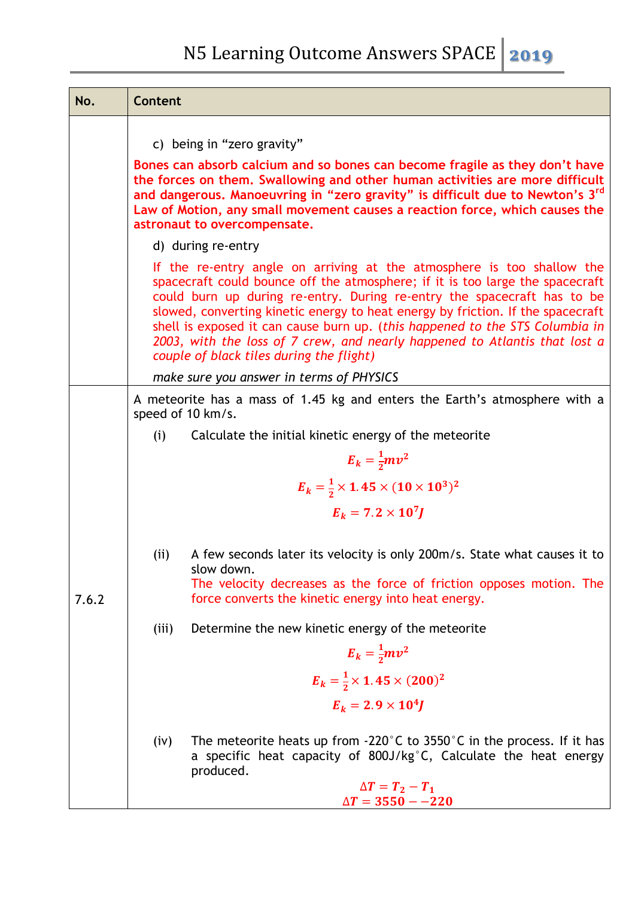| No.   | Content                                                                                                                                                                                                                                                                                                                                                                                                                                                                                                                         |  |  |  |
|-------|---------------------------------------------------------------------------------------------------------------------------------------------------------------------------------------------------------------------------------------------------------------------------------------------------------------------------------------------------------------------------------------------------------------------------------------------------------------------------------------------------------------------------------|--|--|--|
|       | c) being in "zero gravity"<br>Bones can absorb calcium and so bones can become fragile as they don't have<br>the forces on them. Swallowing and other human activities are more difficult<br>and dangerous. Manoeuvring in "zero gravity" is difficult due to Newton's 3 <sup>rd</sup><br>Law of Motion, any small movement causes a reaction force, which causes the<br>astronaut to overcompensate.                                                                                                                           |  |  |  |
|       | d) during re-entry                                                                                                                                                                                                                                                                                                                                                                                                                                                                                                              |  |  |  |
|       | If the re-entry angle on arriving at the atmosphere is too shallow the<br>spacecraft could bounce off the atmosphere; if it is too large the spacecraft<br>could burn up during re-entry. During re-entry the spacecraft has to be<br>slowed, converting kinetic energy to heat energy by friction. If the spacecraft<br>shell is exposed it can cause burn up. (this happened to the STS Columbia in<br>2003, with the loss of 7 crew, and nearly happened to Atlantis that lost a<br>couple of black tiles during the flight) |  |  |  |
|       | make sure you answer in terms of PHYSICS                                                                                                                                                                                                                                                                                                                                                                                                                                                                                        |  |  |  |
|       | A meteorite has a mass of 1.45 kg and enters the Earth's atmosphere with a<br>speed of 10 km/s.                                                                                                                                                                                                                                                                                                                                                                                                                                 |  |  |  |
|       | (i)<br>Calculate the initial kinetic energy of the meteorite                                                                                                                                                                                                                                                                                                                                                                                                                                                                    |  |  |  |
|       | $E_k = \frac{1}{2}mv^2$                                                                                                                                                                                                                                                                                                                                                                                                                                                                                                         |  |  |  |
|       | $E_k = \frac{1}{2} \times 1.45 \times (10 \times 10^3)^2$                                                                                                                                                                                                                                                                                                                                                                                                                                                                       |  |  |  |
|       | $E_k = 7.2 \times 10^7 J$                                                                                                                                                                                                                                                                                                                                                                                                                                                                                                       |  |  |  |
| 7.6.2 | A few seconds later its velocity is only 200m/s. State what causes it to<br>(i)<br>slow down.<br>The velocity decreases as the force of friction opposes motion. The<br>force converts the kinetic energy into heat energy.                                                                                                                                                                                                                                                                                                     |  |  |  |
|       | (iii)<br>Determine the new kinetic energy of the meteorite                                                                                                                                                                                                                                                                                                                                                                                                                                                                      |  |  |  |
|       | $E_k = \frac{1}{2}mv^2$                                                                                                                                                                                                                                                                                                                                                                                                                                                                                                         |  |  |  |
|       | $E_k = \frac{1}{2} \times 1.45 \times (200)^2$                                                                                                                                                                                                                                                                                                                                                                                                                                                                                  |  |  |  |
|       | $E_k = 2.9 \times 10^4 J$                                                                                                                                                                                                                                                                                                                                                                                                                                                                                                       |  |  |  |
|       | The meteorite heats up from $-220^{\circ}$ C to 3550 $^{\circ}$ C in the process. If it has<br>(iv)<br>a specific heat capacity of 800J/kg°C, Calculate the heat energy<br>produced.<br>$\Delta T = T_2 - T_1$<br>$\Delta T = 3550 - -220$                                                                                                                                                                                                                                                                                      |  |  |  |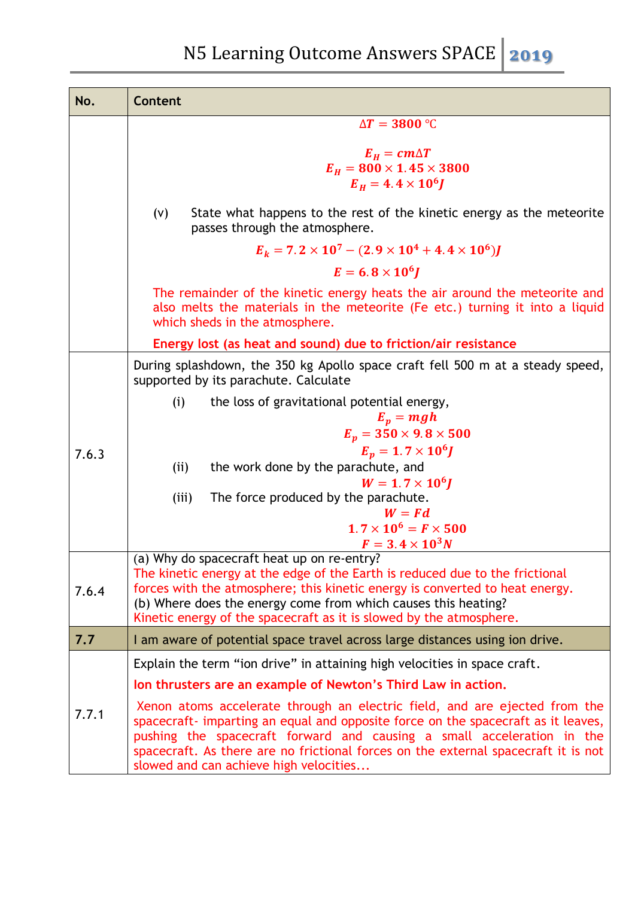| No.   | <b>Content</b>                                                                                                                                                                                                                                                                                                                                                            |
|-------|---------------------------------------------------------------------------------------------------------------------------------------------------------------------------------------------------------------------------------------------------------------------------------------------------------------------------------------------------------------------------|
|       | $\Delta T = 3800$ °C                                                                                                                                                                                                                                                                                                                                                      |
|       | $E_H = cm\Delta T$<br>$E_H = 800 \times 1.45 \times 3800$<br>$E_H = 4.4 \times 10^6 J$                                                                                                                                                                                                                                                                                    |
|       | State what happens to the rest of the kinetic energy as the meteorite<br>(V)<br>passes through the atmosphere.                                                                                                                                                                                                                                                            |
|       | $E_k = 7.2 \times 10^7 - (2.9 \times 10^4 + 4.4 \times 10^6)J$                                                                                                                                                                                                                                                                                                            |
|       | $E = 6.8 \times 10^6$                                                                                                                                                                                                                                                                                                                                                     |
|       | The remainder of the kinetic energy heats the air around the meteorite and<br>also melts the materials in the meteorite (Fe etc.) turning it into a liquid<br>which sheds in the atmosphere.                                                                                                                                                                              |
|       | Energy lost (as heat and sound) due to friction/air resistance                                                                                                                                                                                                                                                                                                            |
|       | During splashdown, the 350 kg Apollo space craft fell 500 m at a steady speed,<br>supported by its parachute. Calculate                                                                                                                                                                                                                                                   |
|       | the loss of gravitational potential energy,<br>(i)<br>$E_p = mgh$                                                                                                                                                                                                                                                                                                         |
|       | $E_p = 350 \times 9.8 \times 500$<br>$E_p = 1.7 \times 10^6 J$                                                                                                                                                                                                                                                                                                            |
| 7.6.3 | the work done by the parachute, and<br>(ii)                                                                                                                                                                                                                                                                                                                               |
|       | $W = 1.7 \times 10^{6}$                                                                                                                                                                                                                                                                                                                                                   |
|       | The force produced by the parachute.<br>(iii)<br>$W = Fd$                                                                                                                                                                                                                                                                                                                 |
|       | $1.7 \times 10^6 = F \times 500$                                                                                                                                                                                                                                                                                                                                          |
|       | $F = 3.4 \times 10^3 N$<br>(a) Why do spacecraft heat up on re-entry?                                                                                                                                                                                                                                                                                                     |
| 7.6.4 | The kinetic energy at the edge of the Earth is reduced due to the frictional<br>forces with the atmosphere; this kinetic energy is converted to heat energy.<br>(b) Where does the energy come from which causes this heating?<br>Kinetic energy of the spacecraft as it is slowed by the atmosphere.                                                                     |
| 7.7   | I am aware of potential space travel across large distances using ion drive.                                                                                                                                                                                                                                                                                              |
|       | Explain the term "ion drive" in attaining high velocities in space craft.                                                                                                                                                                                                                                                                                                 |
|       | Ion thrusters are an example of Newton's Third Law in action.                                                                                                                                                                                                                                                                                                             |
| 7.7.1 | Xenon atoms accelerate through an electric field, and are ejected from the<br>spacecraft- imparting an equal and opposite force on the spacecraft as it leaves,<br>pushing the spacecraft forward and causing a small acceleration in the<br>spacecraft. As there are no frictional forces on the external spacecraft it is not<br>slowed and can achieve high velocities |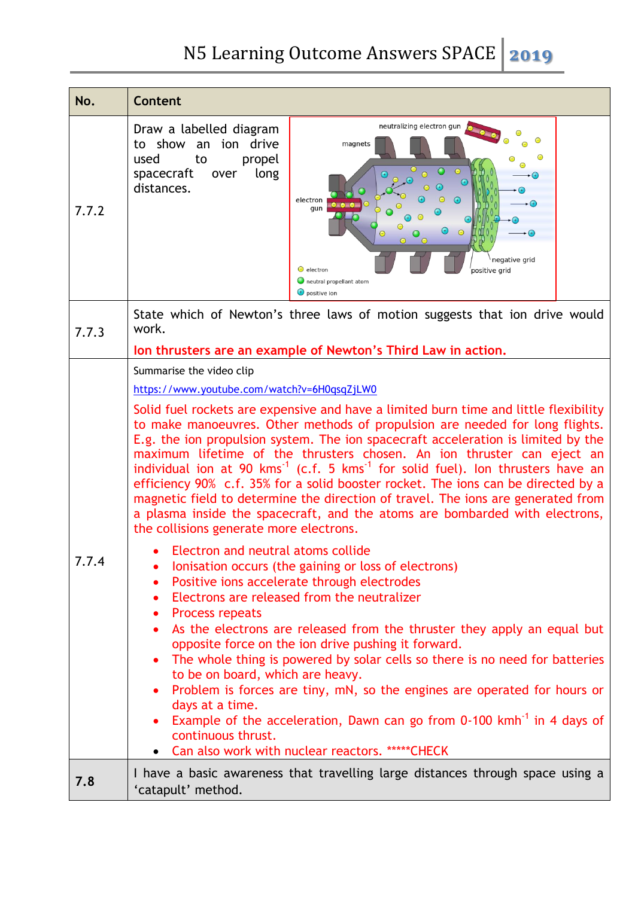| No.   | Content                                                                                                                                                                                                                                                                                                                                                                                                                                                                                                                                                                                                                                                                                                                                                                                                                                                                                                                                                                                                                                                                                                                                                                                                                                                                                                                                                                                                                                                                                                                                                                                               |
|-------|-------------------------------------------------------------------------------------------------------------------------------------------------------------------------------------------------------------------------------------------------------------------------------------------------------------------------------------------------------------------------------------------------------------------------------------------------------------------------------------------------------------------------------------------------------------------------------------------------------------------------------------------------------------------------------------------------------------------------------------------------------------------------------------------------------------------------------------------------------------------------------------------------------------------------------------------------------------------------------------------------------------------------------------------------------------------------------------------------------------------------------------------------------------------------------------------------------------------------------------------------------------------------------------------------------------------------------------------------------------------------------------------------------------------------------------------------------------------------------------------------------------------------------------------------------------------------------------------------------|
| 7.7.2 | neutralizing electron gun<br>Draw a labelled diagram<br>to show an ion drive<br>magnets<br>⊝<br>used<br>propel<br>to<br>$\bigcirc$<br>long<br>spacecraft<br>over<br>$\odot$<br>$-(+)$<br>distances.<br>electron<br>$^{(+)}$<br>$\bullet$ $\bullet$ $\bullet$<br>$-(+)$<br>gun<br>$\Theta$<br>Θ<br>$\Theta$<br>negative grid<br>$\Theta$ electron<br>positive grid<br>neutral propellant atom<br>$\biguplus$ positive ion                                                                                                                                                                                                                                                                                                                                                                                                                                                                                                                                                                                                                                                                                                                                                                                                                                                                                                                                                                                                                                                                                                                                                                              |
| 7.7.3 | State which of Newton's three laws of motion suggests that ion drive would<br>work.                                                                                                                                                                                                                                                                                                                                                                                                                                                                                                                                                                                                                                                                                                                                                                                                                                                                                                                                                                                                                                                                                                                                                                                                                                                                                                                                                                                                                                                                                                                   |
| 1.1.4 | Ion thrusters are an example of Newton's Third Law in action.<br>Summarise the video clip<br>https://www.youtube.com/watch?v=6H0qsqZjLW0<br>Solid fuel rockets are expensive and have a limited burn time and little flexibility<br>to make manoeuvres. Other methods of propulsion are needed for long flights.<br>E.g. the ion propulsion system. The ion spacecraft acceleration is limited by the<br>maximum lifetime of the thrusters chosen. An ion thruster can eject an<br>individual ion at 90 $kms^{-1}$ (c.f. 5 $kms^{-1}$ for solid fuel). Ion thrusters have an<br>efficiency 90% c.f. 35% for a solid booster rocket. The ions can be directed by a<br>magnetic field to determine the direction of travel. The ions are generated from<br>a plasma inside the spacecraft, and the atoms are bombarded with electrons,<br>the collisions generate more electrons.<br>Electron and neutral atoms collide<br>lonisation occurs (the gaining or loss of electrons)<br>Positive ions accelerate through electrodes<br>Electrons are released from the neutralizer<br>$\bullet$<br>Process repeats<br>$\bullet$<br>As the electrons are released from the thruster they apply an equal but<br>$\bullet$<br>opposite force on the ion drive pushing it forward.<br>The whole thing is powered by solar cells so there is no need for batteries<br>to be on board, which are heavy.<br>Problem is forces are tiny, mN, so the engines are operated for hours or<br>days at a time.<br>Example of the acceleration, Dawn can go from 0-100 kmh <sup>-1</sup> in 4 days of<br>continuous thrust. |
| 7.8   | Can also work with nuclear reactors. *****CHECK<br>I have a basic awareness that travelling large distances through space using a<br>'catapult' method.                                                                                                                                                                                                                                                                                                                                                                                                                                                                                                                                                                                                                                                                                                                                                                                                                                                                                                                                                                                                                                                                                                                                                                                                                                                                                                                                                                                                                                               |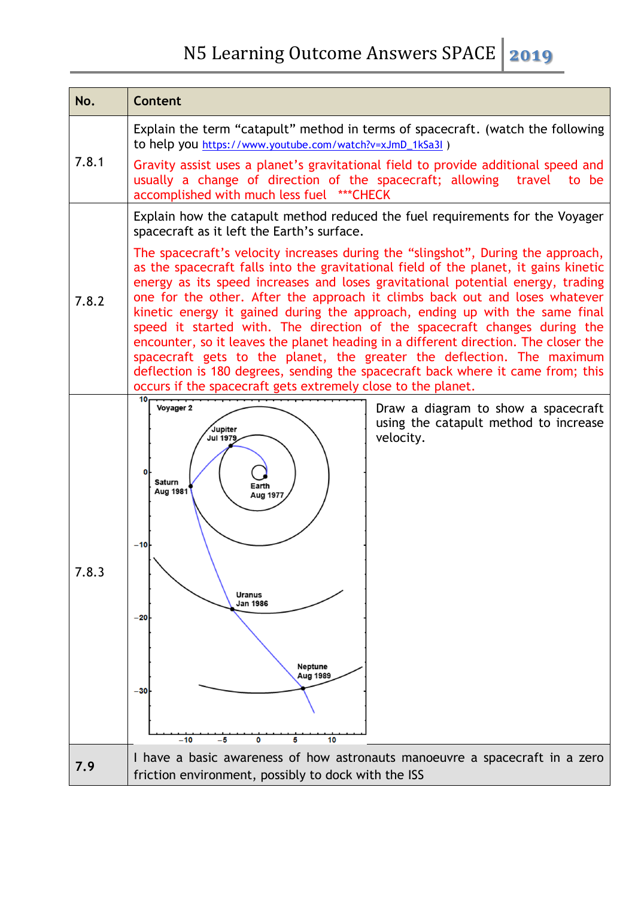| No.   | <b>Content</b>                                                                                                                                                                                                                                                                                                                                                                                                                                                                                                                                                                                                                                                                                                                                                                                                             |  |
|-------|----------------------------------------------------------------------------------------------------------------------------------------------------------------------------------------------------------------------------------------------------------------------------------------------------------------------------------------------------------------------------------------------------------------------------------------------------------------------------------------------------------------------------------------------------------------------------------------------------------------------------------------------------------------------------------------------------------------------------------------------------------------------------------------------------------------------------|--|
| 7.8.1 | Explain the term "catapult" method in terms of spacecraft. (watch the following<br>to help you https://www.youtube.com/watch?v=xJmD_1kSa3l)                                                                                                                                                                                                                                                                                                                                                                                                                                                                                                                                                                                                                                                                                |  |
|       | Gravity assist uses a planet's gravitational field to provide additional speed and<br>usually a change of direction of the spacecraft; allowing travel<br>to be<br>accomplished with much less fuel *** CHECK                                                                                                                                                                                                                                                                                                                                                                                                                                                                                                                                                                                                              |  |
| 7.8.2 | Explain how the catapult method reduced the fuel requirements for the Voyager<br>spacecraft as it left the Earth's surface.                                                                                                                                                                                                                                                                                                                                                                                                                                                                                                                                                                                                                                                                                                |  |
|       | The spacecraft's velocity increases during the "slingshot", During the approach,<br>as the spacecraft falls into the gravitational field of the planet, it gains kinetic<br>energy as its speed increases and loses gravitational potential energy, trading<br>one for the other. After the approach it climbs back out and loses whatever<br>kinetic energy it gained during the approach, ending up with the same final<br>speed it started with. The direction of the spacecraft changes during the<br>encounter, so it leaves the planet heading in a different direction. The closer the<br>spacecraft gets to the planet, the greater the deflection. The maximum<br>deflection is 180 degrees, sending the spacecraft back where it came from; this<br>occurs if the spacecraft gets extremely close to the planet. |  |
| 7.8.3 | 10<br>Voyager 2<br>Draw a diagram to show a spacecraft<br>using the catapult method to increase<br>Jupiter<br>velocity.<br><b>Jul 1979</b><br>0<br><b>Saturn</b><br>Earth<br>Aug 1981<br>Aug 1977<br>$-10$<br><b>Uranus</b><br>Jan 1986<br>$-20$<br>Neptune<br>Aug 1989<br>$-30$<br>$-10$<br>10<br>-5<br>0<br>5                                                                                                                                                                                                                                                                                                                                                                                                                                                                                                            |  |
| 7.9   | I have a basic awareness of how astronauts manoeuvre a spacecraft in a zero<br>friction environment, possibly to dock with the ISS                                                                                                                                                                                                                                                                                                                                                                                                                                                                                                                                                                                                                                                                                         |  |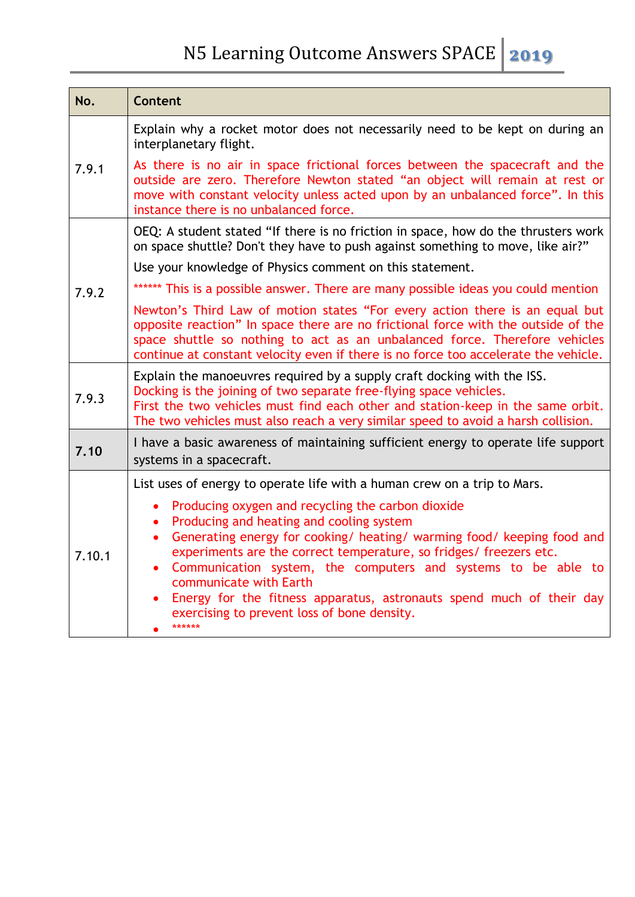| No.    | Content                                                                                                                                                                                                                                                                                                                                                                                                                                                                                             |  |  |  |
|--------|-----------------------------------------------------------------------------------------------------------------------------------------------------------------------------------------------------------------------------------------------------------------------------------------------------------------------------------------------------------------------------------------------------------------------------------------------------------------------------------------------------|--|--|--|
| 7.9.1  | Explain why a rocket motor does not necessarily need to be kept on during an<br>interplanetary flight.                                                                                                                                                                                                                                                                                                                                                                                              |  |  |  |
|        | As there is no air in space frictional forces between the spacecraft and the<br>outside are zero. Therefore Newton stated "an object will remain at rest or<br>move with constant velocity unless acted upon by an unbalanced force". In this<br>instance there is no unbalanced force.                                                                                                                                                                                                             |  |  |  |
|        | OEQ: A student stated "If there is no friction in space, how do the thrusters work<br>on space shuttle? Don't they have to push against something to move, like air?"                                                                                                                                                                                                                                                                                                                               |  |  |  |
|        | Use your knowledge of Physics comment on this statement.                                                                                                                                                                                                                                                                                                                                                                                                                                            |  |  |  |
| 7.9.2  | ****** This is a possible answer. There are many possible ideas you could mention                                                                                                                                                                                                                                                                                                                                                                                                                   |  |  |  |
|        | Newton's Third Law of motion states "For every action there is an equal but<br>opposite reaction" In space there are no frictional force with the outside of the<br>space shuttle so nothing to act as an unbalanced force. Therefore vehicles<br>continue at constant velocity even if there is no force too accelerate the vehicle.                                                                                                                                                               |  |  |  |
| 7.9.3  | Explain the manoeuvres required by a supply craft docking with the ISS.<br>Docking is the joining of two separate free-flying space vehicles.<br>First the two vehicles must find each other and station-keep in the same orbit.<br>The two vehicles must also reach a very similar speed to avoid a harsh collision.                                                                                                                                                                               |  |  |  |
| 7.10   | I have a basic awareness of maintaining sufficient energy to operate life support<br>systems in a spacecraft.                                                                                                                                                                                                                                                                                                                                                                                       |  |  |  |
| 7.10.1 | List uses of energy to operate life with a human crew on a trip to Mars.                                                                                                                                                                                                                                                                                                                                                                                                                            |  |  |  |
|        | Producing oxygen and recycling the carbon dioxide<br>Producing and heating and cooling system<br>$\bullet$<br>Generating energy for cooking/ heating/ warming food/ keeping food and<br>$\bullet$<br>experiments are the correct temperature, so fridges/ freezers etc.<br>Communication system, the computers and systems to be able to<br>communicate with Earth<br>Energy for the fitness apparatus, astronauts spend much of their day<br>exercising to prevent loss of bone density.<br>****** |  |  |  |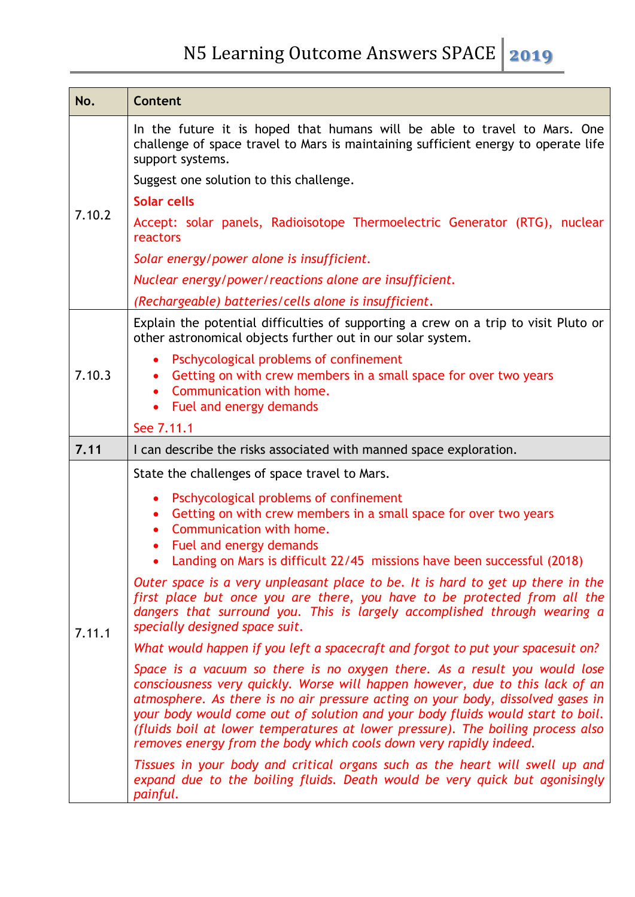| No.    | Content                                                                                                                                                                                                                                                                                                                                                                                                                                                                                  |  |  |  |  |
|--------|------------------------------------------------------------------------------------------------------------------------------------------------------------------------------------------------------------------------------------------------------------------------------------------------------------------------------------------------------------------------------------------------------------------------------------------------------------------------------------------|--|--|--|--|
|        | In the future it is hoped that humans will be able to travel to Mars. One<br>challenge of space travel to Mars is maintaining sufficient energy to operate life<br>support systems.                                                                                                                                                                                                                                                                                                      |  |  |  |  |
|        | Suggest one solution to this challenge.                                                                                                                                                                                                                                                                                                                                                                                                                                                  |  |  |  |  |
|        | Solar cells                                                                                                                                                                                                                                                                                                                                                                                                                                                                              |  |  |  |  |
| 7.10.2 | Accept: solar panels, Radioisotope Thermoelectric Generator (RTG), nuclear<br>reactors                                                                                                                                                                                                                                                                                                                                                                                                   |  |  |  |  |
|        | Solar energy/power alone is insufficient.                                                                                                                                                                                                                                                                                                                                                                                                                                                |  |  |  |  |
|        | Nuclear energy/power/reactions alone are insufficient.                                                                                                                                                                                                                                                                                                                                                                                                                                   |  |  |  |  |
|        | (Rechargeable) batteries/cells alone is insufficient.                                                                                                                                                                                                                                                                                                                                                                                                                                    |  |  |  |  |
| 7.10.3 | Explain the potential difficulties of supporting a crew on a trip to visit Pluto or<br>other astronomical objects further out in our solar system.                                                                                                                                                                                                                                                                                                                                       |  |  |  |  |
|        | Pschycological problems of confinement<br>Getting on with crew members in a small space for over two years<br>$\bullet$<br>Communication with home.<br>Fuel and energy demands<br>$\bullet$                                                                                                                                                                                                                                                                                              |  |  |  |  |
|        | See 7.11.1                                                                                                                                                                                                                                                                                                                                                                                                                                                                               |  |  |  |  |
| 7.11   | I can describe the risks associated with manned space exploration.                                                                                                                                                                                                                                                                                                                                                                                                                       |  |  |  |  |
|        | State the challenges of space travel to Mars.                                                                                                                                                                                                                                                                                                                                                                                                                                            |  |  |  |  |
| 7.11.1 | Pschycological problems of confinement<br>Getting on with crew members in a small space for over two years<br>Communication with home.<br>$\bullet$<br>Fuel and energy demands<br>Landing on Mars is difficult 22/45 missions have been successful (2018)                                                                                                                                                                                                                                |  |  |  |  |
|        | Outer space is a very unpleasant place to be. It is hard to get up there in the<br>first place but once you are there, you have to be protected from all the<br>dangers that surround you. This is largely accomplished through wearing a<br>specially designed space suit.                                                                                                                                                                                                              |  |  |  |  |
|        | What would happen if you left a spacecraft and forgot to put your spacesuit on?                                                                                                                                                                                                                                                                                                                                                                                                          |  |  |  |  |
|        | Space is a vacuum so there is no oxygen there. As a result you would lose<br>consciousness very quickly. Worse will happen however, due to this lack of an<br>atmosphere. As there is no air pressure acting on your body, dissolved gases in<br>your body would come out of solution and your body fluids would start to boil.<br>(fluids boil at lower temperatures at lower pressure). The boiling process also<br>removes energy from the body which cools down very rapidly indeed. |  |  |  |  |
|        | Tissues in your body and critical organs such as the heart will swell up and<br>expand due to the boiling fluids. Death would be very quick but agonisingly<br>painful.                                                                                                                                                                                                                                                                                                                  |  |  |  |  |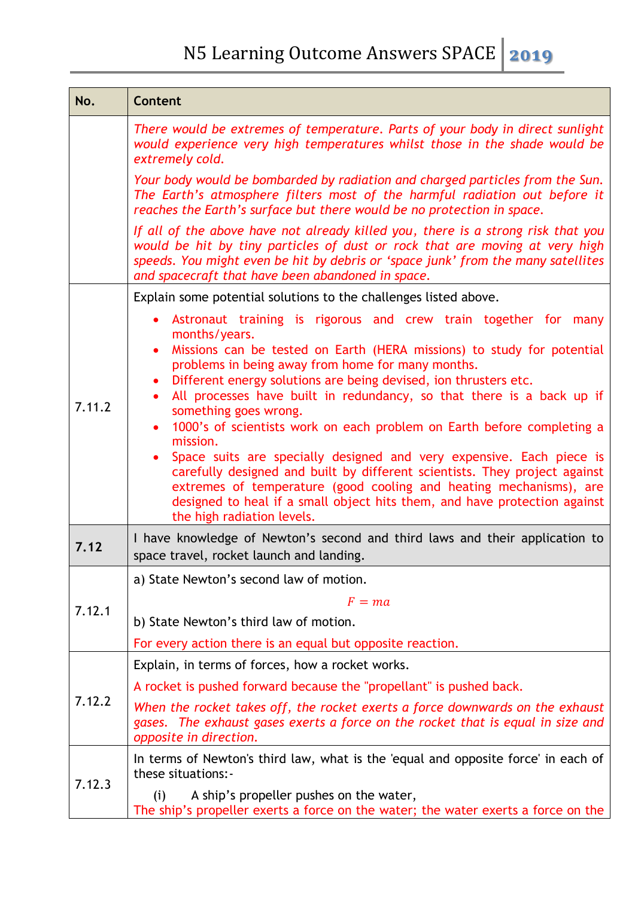| No.    | <b>Content</b>                                                                                                                                                                                                                                                                                                                                                                                                                                                                                                                                                                                                                                                                                                                                                                                                                                                           |  |  |  |  |
|--------|--------------------------------------------------------------------------------------------------------------------------------------------------------------------------------------------------------------------------------------------------------------------------------------------------------------------------------------------------------------------------------------------------------------------------------------------------------------------------------------------------------------------------------------------------------------------------------------------------------------------------------------------------------------------------------------------------------------------------------------------------------------------------------------------------------------------------------------------------------------------------|--|--|--|--|
|        | There would be extremes of temperature. Parts of your body in direct sunlight<br>would experience very high temperatures whilst those in the shade would be<br>extremely cold.                                                                                                                                                                                                                                                                                                                                                                                                                                                                                                                                                                                                                                                                                           |  |  |  |  |
|        | Your body would be bombarded by radiation and charged particles from the Sun.<br>The Earth's atmosphere filters most of the harmful radiation out before it<br>reaches the Earth's surface but there would be no protection in space.                                                                                                                                                                                                                                                                                                                                                                                                                                                                                                                                                                                                                                    |  |  |  |  |
|        | If all of the above have not already killed you, there is a strong risk that you<br>would be hit by tiny particles of dust or rock that are moving at very high<br>speeds. You might even be hit by debris or 'space junk' from the many satellites<br>and spacecraft that have been abandoned in space.                                                                                                                                                                                                                                                                                                                                                                                                                                                                                                                                                                 |  |  |  |  |
|        | Explain some potential solutions to the challenges listed above.                                                                                                                                                                                                                                                                                                                                                                                                                                                                                                                                                                                                                                                                                                                                                                                                         |  |  |  |  |
| 7.11.2 | • Astronaut training is rigorous and crew train together for many<br>months/years.<br>Missions can be tested on Earth (HERA missions) to study for potential<br>$\bullet$<br>problems in being away from home for many months.<br>Different energy solutions are being devised, ion thrusters etc.<br>$\bullet$<br>All processes have built in redundancy, so that there is a back up if<br>$\bullet$<br>something goes wrong.<br>1000's of scientists work on each problem on Earth before completing a<br>$\bullet$<br>mission.<br>Space suits are specially designed and very expensive. Each piece is<br>carefully designed and built by different scientists. They project against<br>extremes of temperature (good cooling and heating mechanisms), are<br>designed to heal if a small object hits them, and have protection against<br>the high radiation levels. |  |  |  |  |
| 7.12   | I have knowledge of Newton's second and third laws and their application to<br>space travel, rocket launch and landing.                                                                                                                                                                                                                                                                                                                                                                                                                                                                                                                                                                                                                                                                                                                                                  |  |  |  |  |
|        | a) State Newton's second law of motion.                                                                                                                                                                                                                                                                                                                                                                                                                                                                                                                                                                                                                                                                                                                                                                                                                                  |  |  |  |  |
| 7.12.1 | $F = ma$                                                                                                                                                                                                                                                                                                                                                                                                                                                                                                                                                                                                                                                                                                                                                                                                                                                                 |  |  |  |  |
|        | b) State Newton's third law of motion.                                                                                                                                                                                                                                                                                                                                                                                                                                                                                                                                                                                                                                                                                                                                                                                                                                   |  |  |  |  |
|        | For every action there is an equal but opposite reaction.                                                                                                                                                                                                                                                                                                                                                                                                                                                                                                                                                                                                                                                                                                                                                                                                                |  |  |  |  |
|        | Explain, in terms of forces, how a rocket works.                                                                                                                                                                                                                                                                                                                                                                                                                                                                                                                                                                                                                                                                                                                                                                                                                         |  |  |  |  |
| 7.12.2 | A rocket is pushed forward because the "propellant" is pushed back.                                                                                                                                                                                                                                                                                                                                                                                                                                                                                                                                                                                                                                                                                                                                                                                                      |  |  |  |  |
|        | When the rocket takes off, the rocket exerts a force downwards on the exhaust<br>gases. The exhaust gases exerts a force on the rocket that is equal in size and<br>opposite in direction.                                                                                                                                                                                                                                                                                                                                                                                                                                                                                                                                                                                                                                                                               |  |  |  |  |
| 7.12.3 | In terms of Newton's third law, what is the 'equal and opposite force' in each of<br>these situations:-                                                                                                                                                                                                                                                                                                                                                                                                                                                                                                                                                                                                                                                                                                                                                                  |  |  |  |  |
|        | A ship's propeller pushes on the water,<br>(i)<br>The ship's propeller exerts a force on the water; the water exerts a force on the                                                                                                                                                                                                                                                                                                                                                                                                                                                                                                                                                                                                                                                                                                                                      |  |  |  |  |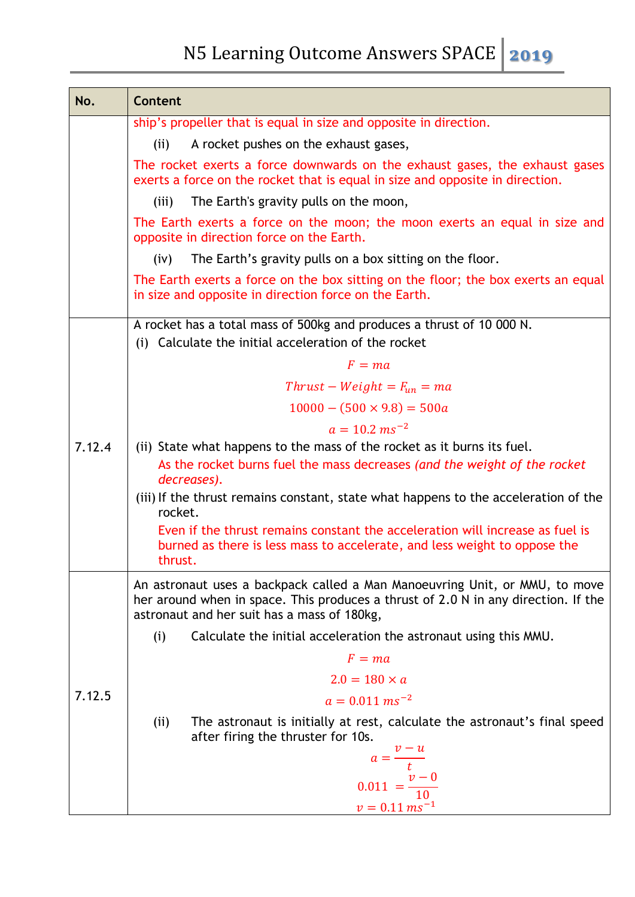| No.    | Content                                                                                                                                                                                                          |  |  |  |
|--------|------------------------------------------------------------------------------------------------------------------------------------------------------------------------------------------------------------------|--|--|--|
|        | ship's propeller that is equal in size and opposite in direction.                                                                                                                                                |  |  |  |
|        | A rocket pushes on the exhaust gases,<br>(ii)                                                                                                                                                                    |  |  |  |
|        | The rocket exerts a force downwards on the exhaust gases, the exhaust gases<br>exerts a force on the rocket that is equal in size and opposite in direction.                                                     |  |  |  |
|        | The Earth's gravity pulls on the moon,<br>(iii)                                                                                                                                                                  |  |  |  |
|        | The Earth exerts a force on the moon; the moon exerts an equal in size and<br>opposite in direction force on the Earth.                                                                                          |  |  |  |
|        | The Earth's gravity pulls on a box sitting on the floor.<br>(iv)                                                                                                                                                 |  |  |  |
|        | The Earth exerts a force on the box sitting on the floor; the box exerts an equal<br>in size and opposite in direction force on the Earth.                                                                       |  |  |  |
|        | A rocket has a total mass of 500kg and produces a thrust of 10 000 N.                                                                                                                                            |  |  |  |
|        | (i) Calculate the initial acceleration of the rocket                                                                                                                                                             |  |  |  |
|        | $F = ma$                                                                                                                                                                                                         |  |  |  |
|        | $Thrust - Weight = F_{un} = ma$                                                                                                                                                                                  |  |  |  |
|        | $10000 - (500 \times 9.8) = 500a$                                                                                                                                                                                |  |  |  |
|        | $a = 10.2 \text{ m s}^{-2}$                                                                                                                                                                                      |  |  |  |
| 7.12.4 | (ii) State what happens to the mass of the rocket as it burns its fuel.                                                                                                                                          |  |  |  |
|        | As the rocket burns fuel the mass decreases (and the weight of the rocket<br>decreases).                                                                                                                         |  |  |  |
|        | (iii) If the thrust remains constant, state what happens to the acceleration of the<br>rocket.                                                                                                                   |  |  |  |
|        | Even if the thrust remains constant the acceleration will increase as fuel is<br>burned as there is less mass to accelerate, and less weight to oppose the<br>thrust.                                            |  |  |  |
| 7.12.5 | An astronaut uses a backpack called a Man Manoeuvring Unit, or MMU, to move<br>her around when in space. This produces a thrust of 2.0 N in any direction. If the<br>astronaut and her suit has a mass of 180kg, |  |  |  |
|        | (i)<br>Calculate the initial acceleration the astronaut using this MMU.                                                                                                                                          |  |  |  |
|        | $F = ma$                                                                                                                                                                                                         |  |  |  |
|        | $2.0 = 180 \times a$                                                                                                                                                                                             |  |  |  |
|        | $a = 0.011$ ms <sup>-2</sup>                                                                                                                                                                                     |  |  |  |
|        | (ii)<br>The astronaut is initially at rest, calculate the astronaut's final speed<br>after firing the thruster for 10s.                                                                                          |  |  |  |
|        |                                                                                                                                                                                                                  |  |  |  |
|        | $a = \frac{v - u}{t}$<br>0.011 = $\frac{v - 0}{10}$                                                                                                                                                              |  |  |  |
|        | $v = 0.11 \text{ ms}^{-1}$                                                                                                                                                                                       |  |  |  |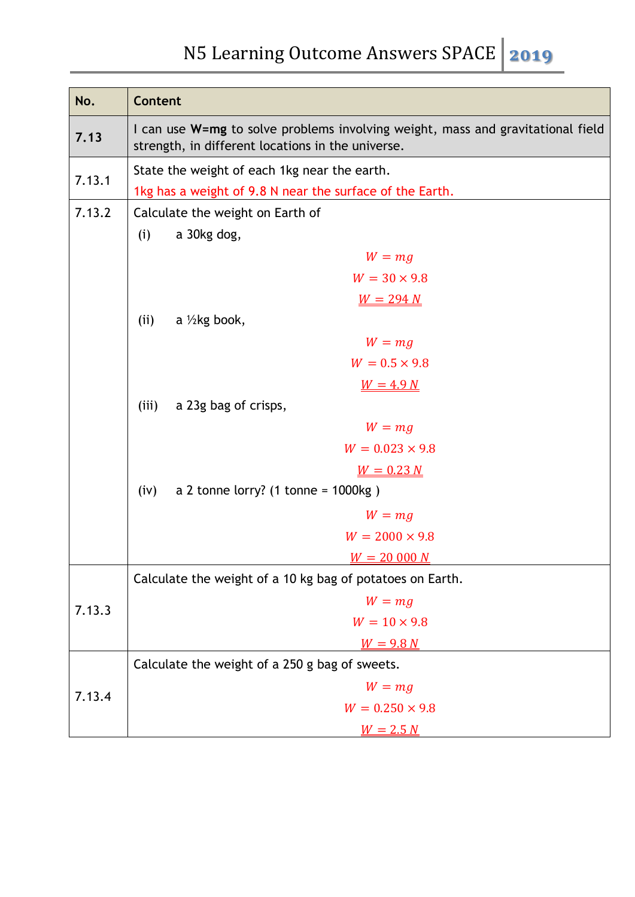| No.    | <b>Content</b>                                                                                                                       |  |  |  |
|--------|--------------------------------------------------------------------------------------------------------------------------------------|--|--|--|
| 7.13   | I can use W=mg to solve problems involving weight, mass and gravitational field<br>strength, in different locations in the universe. |  |  |  |
|        | State the weight of each 1kg near the earth.                                                                                         |  |  |  |
| 7.13.1 | 1kg has a weight of 9.8 N near the surface of the Earth.                                                                             |  |  |  |
| 7.13.2 | Calculate the weight on Earth of                                                                                                     |  |  |  |
|        | a 30kg dog,<br>(i)                                                                                                                   |  |  |  |
|        | $W = mg$                                                                                                                             |  |  |  |
|        | $W = 30 \times 9.8$                                                                                                                  |  |  |  |
|        | $W = 294 N$                                                                                                                          |  |  |  |
|        | a $\frac{1}{2}$ kg book,<br>(ii)                                                                                                     |  |  |  |
|        | $W = mg$                                                                                                                             |  |  |  |
|        | $W = 0.5 \times 9.8$                                                                                                                 |  |  |  |
|        | $W = 4.9 N$                                                                                                                          |  |  |  |
|        | a 23g bag of crisps,<br>(iii)                                                                                                        |  |  |  |
|        | $W = mg$                                                                                                                             |  |  |  |
|        | $W = 0.023 \times 9.8$                                                                                                               |  |  |  |
|        | $W = 0.23 N$                                                                                                                         |  |  |  |
|        | a 2 tonne lorry? $(1 \text{ tonne} = 1000 \text{kg})$<br>(iv)                                                                        |  |  |  |
|        | $W = mg$                                                                                                                             |  |  |  |
|        | $W = 2000 \times 9.8$                                                                                                                |  |  |  |
|        | $W = 20000 N$                                                                                                                        |  |  |  |
|        | Calculate the weight of a 10 kg bag of potatoes on Earth.                                                                            |  |  |  |
| 7.13.3 | $W = mg$                                                                                                                             |  |  |  |
|        | $W = 10 \times 9.8$                                                                                                                  |  |  |  |
|        | $W = 9.8 N$                                                                                                                          |  |  |  |
|        | Calculate the weight of a 250 g bag of sweets.                                                                                       |  |  |  |
| 7.13.4 | $W = mg$                                                                                                                             |  |  |  |
|        | $W = 0.250 \times 9.8$                                                                                                               |  |  |  |
|        | $W = 2.5 N$                                                                                                                          |  |  |  |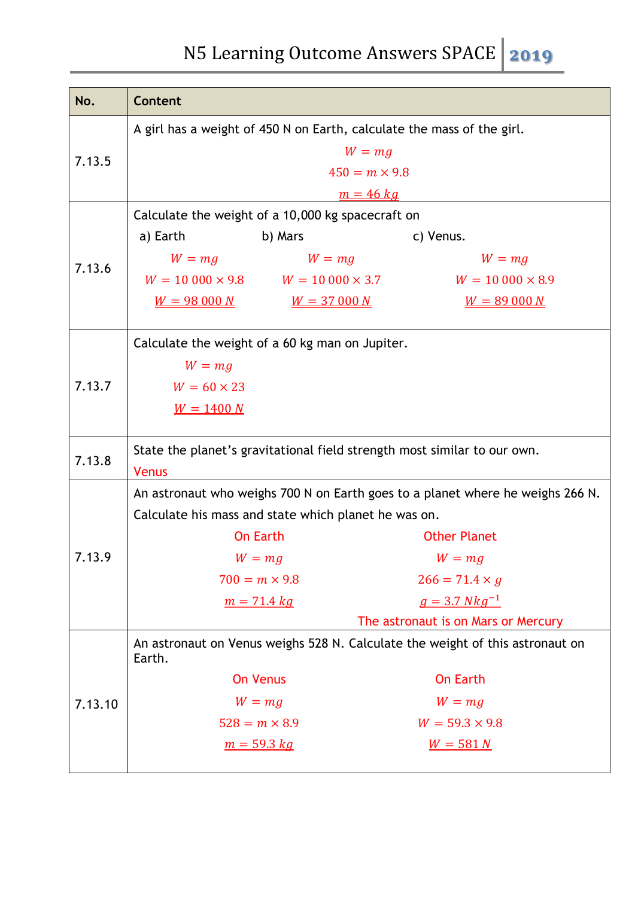| No.     | <b>Content</b>                                                                          |  |  |
|---------|-----------------------------------------------------------------------------------------|--|--|
|         | A girl has a weight of 450 N on Earth, calculate the mass of the girl.                  |  |  |
|         | $W = mg$                                                                                |  |  |
| 7.13.5  | $450 = m \times 9.8$                                                                    |  |  |
|         | $m = 46 kg$                                                                             |  |  |
|         | Calculate the weight of a 10,000 kg spacecraft on                                       |  |  |
|         | b) Mars<br>a) Earth<br>c) Venus.                                                        |  |  |
|         | $W = mg$<br>$W = mg$<br>$W = mg$                                                        |  |  |
| 7.13.6  | $W = 10000 \times 9.8$ $W = 10000 \times 3.7$<br>$W = 10000 \times 8.9$                 |  |  |
|         | $W = 98000 N$<br>$W = 37000 N$<br>$W = 89000 N$                                         |  |  |
|         |                                                                                         |  |  |
|         | Calculate the weight of a 60 kg man on Jupiter.                                         |  |  |
|         | $W = mg$                                                                                |  |  |
| 7.13.7  | $W = 60 \times 23$                                                                      |  |  |
|         | $W = 1400 N$                                                                            |  |  |
|         |                                                                                         |  |  |
| 7.13.8  | State the planet's gravitational field strength most similar to our own.                |  |  |
|         | <b>Venus</b>                                                                            |  |  |
|         | An astronaut who weighs 700 N on Earth goes to a planet where he weighs 266 N.          |  |  |
|         | Calculate his mass and state which planet he was on.                                    |  |  |
|         | <b>On Earth</b><br><b>Other Planet</b>                                                  |  |  |
| 7.13.9  | $W = mg$<br>$W = mg$                                                                    |  |  |
|         | $700 = m \times 9.8$<br>$266 = 71.4 \times g$                                           |  |  |
|         | $q = 3.7 Nkg^{-1}$<br>$m = 71.4$ kg                                                     |  |  |
|         | The astronaut is on Mars or Mercury                                                     |  |  |
|         | An astronaut on Venus weighs 528 N. Calculate the weight of this astronaut on<br>Earth. |  |  |
| 7.13.10 | <b>On Earth</b><br><b>On Venus</b>                                                      |  |  |
|         | $W = mg$<br>$W = mg$                                                                    |  |  |
|         | $528 = m \times 8.9$<br>$W = 59.3 \times 9.8$                                           |  |  |
|         | $m = 59.3 kg$<br>$W = 581 N$                                                            |  |  |
|         |                                                                                         |  |  |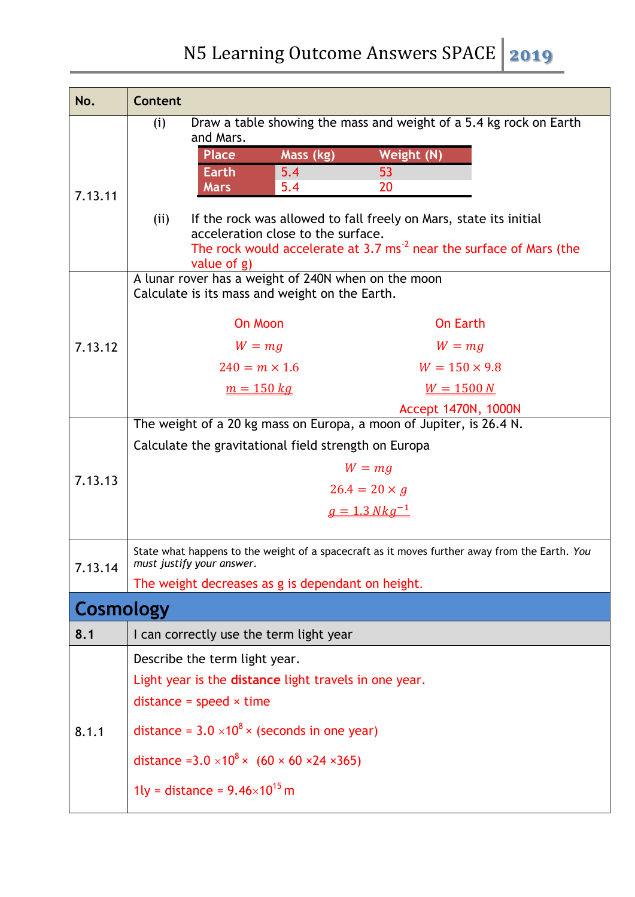| No.       | <b>Content</b>                                                                                                                                                                                          |  |  |
|-----------|---------------------------------------------------------------------------------------------------------------------------------------------------------------------------------------------------------|--|--|
|           | Draw a table showing the mass and weight of a 5.4 kg rock on Earth<br>(i)<br>and Mars.                                                                                                                  |  |  |
|           | Mass (kg)<br>Weight (N)<br><b>Place</b>                                                                                                                                                                 |  |  |
|           | 53<br><b>Earth</b><br>5.4                                                                                                                                                                               |  |  |
| 7.13.11   | <b>Mars</b><br>5.4<br>20                                                                                                                                                                                |  |  |
|           | If the rock was allowed to fall freely on Mars, state its initial<br>(ii)<br>acceleration close to the surface.<br>The rock would accelerate at 3.7 $ms-2$ near the surface of Mars (the<br>value of g) |  |  |
|           | A lunar rover has a weight of 240N when on the moon<br>Calculate is its mass and weight on the Earth.                                                                                                   |  |  |
|           | On Moon<br><b>On Earth</b>                                                                                                                                                                              |  |  |
| 7.13.12   | $W = mg$<br>$W = mg$                                                                                                                                                                                    |  |  |
|           | $W = 150 \times 9.8$<br>$240 = m \times 1.6$                                                                                                                                                            |  |  |
|           | $m = 150$ kg<br>$W = 1500 N$                                                                                                                                                                            |  |  |
|           | Accept 1470N, 1000N                                                                                                                                                                                     |  |  |
|           | The weight of a 20 kg mass on Europa, a moon of Jupiter, is 26.4 N.                                                                                                                                     |  |  |
|           | Calculate the gravitational field strength on Europa                                                                                                                                                    |  |  |
| 7.13.13   | $W = mg$                                                                                                                                                                                                |  |  |
|           | $26.4 = 20 \times g$                                                                                                                                                                                    |  |  |
|           | $g = 1.3 Nkg^{-1}$                                                                                                                                                                                      |  |  |
| 7.13.14   | State what happens to the weight of a spacecraft as it moves further away from the Earth. You<br>must justify your answer.                                                                              |  |  |
|           | The weight decreases as g is dependant on height.                                                                                                                                                       |  |  |
| Cosmology |                                                                                                                                                                                                         |  |  |
| 8.1       | I can correctly use the term light year                                                                                                                                                                 |  |  |
|           | Describe the term light year.                                                                                                                                                                           |  |  |
|           | Light year is the distance light travels in one year.                                                                                                                                                   |  |  |
|           | distance = $speed \times time$                                                                                                                                                                          |  |  |
| 8.1.1     | distance = $3.0 \times 10^8 \times$ (seconds in one year)                                                                                                                                               |  |  |
|           | distance = $3.0 \times 10^8 \times (60 \times 60 \times 24 \times 365)$                                                                                                                                 |  |  |
|           | 1ly = distance = $9.46 \times 10^{15}$ m                                                                                                                                                                |  |  |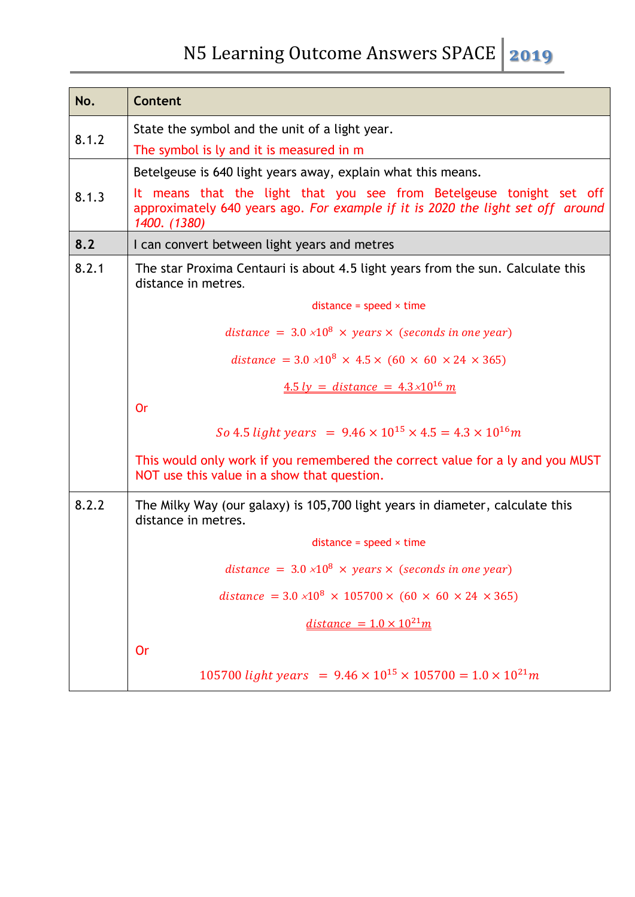| No.   | Content                                                                                                                                                                 |  |  |  |  |
|-------|-------------------------------------------------------------------------------------------------------------------------------------------------------------------------|--|--|--|--|
|       | State the symbol and the unit of a light year.                                                                                                                          |  |  |  |  |
| 8.1.2 | The symbol is ly and it is measured in m                                                                                                                                |  |  |  |  |
|       | Betelgeuse is 640 light years away, explain what this means.                                                                                                            |  |  |  |  |
| 8.1.3 | It means that the light that you see from Betelgeuse tonight set off<br>approximately 640 years ago. For example if it is 2020 the light set off around<br>1400. (1380) |  |  |  |  |
| 8.2   | I can convert between light years and metres                                                                                                                            |  |  |  |  |
| 8.2.1 | The star Proxima Centauri is about 4.5 light years from the sun. Calculate this<br>distance in metres.                                                                  |  |  |  |  |
|       | distance = $speed \times time$                                                                                                                                          |  |  |  |  |
|       | distance = $3.0 \times 10^8 \times \text{ years} \times$ (seconds in one year)                                                                                          |  |  |  |  |
|       | distance = $3.0 \times 10^8 \times 4.5 \times (60 \times 60 \times 24 \times 365)$                                                                                      |  |  |  |  |
|       | $4.5 \, ly = distance = 4.3 \times 10^{16} \, m$                                                                                                                        |  |  |  |  |
|       | Or                                                                                                                                                                      |  |  |  |  |
|       | So 4.5 light years = $9.46 \times 10^{15} \times 4.5 = 4.3 \times 10^{16}$ m                                                                                            |  |  |  |  |
|       | This would only work if you remembered the correct value for a ly and you MUST<br>NOT use this value in a show that question.                                           |  |  |  |  |
| 8.2.2 | The Milky Way (our galaxy) is 105,700 light years in diameter, calculate this<br>distance in metres.                                                                    |  |  |  |  |
|       | distance = $speed \times time$                                                                                                                                          |  |  |  |  |
|       | distance = $3.0 \times 10^8 \times \text{ years} \times$ (seconds in one year)                                                                                          |  |  |  |  |
|       | distance = $3.0 \times 10^8 \times 105700 \times (60 \times 60 \times 24 \times 365)$                                                                                   |  |  |  |  |
|       | $distance = 1.0 \times 10^{21} m$                                                                                                                                       |  |  |  |  |
|       | <b>Or</b>                                                                                                                                                               |  |  |  |  |
|       | 105700 light years = $9.46 \times 10^{15} \times 105700 = 1.0 \times 10^{21} m$                                                                                         |  |  |  |  |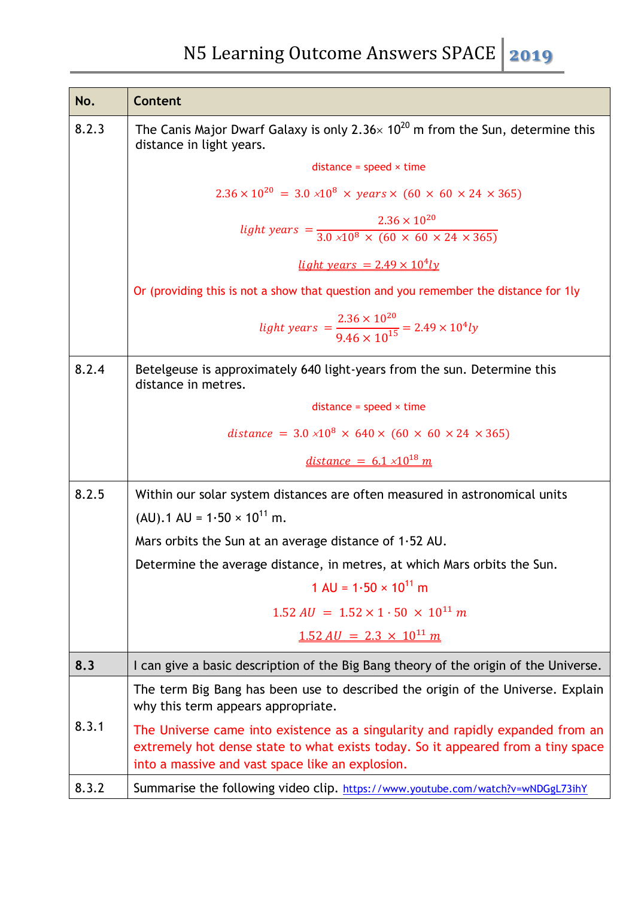| No.   | <b>Content</b>                                                                                                                                                                                                         |  |  |  |
|-------|------------------------------------------------------------------------------------------------------------------------------------------------------------------------------------------------------------------------|--|--|--|
| 8.2.3 | The Canis Major Dwarf Galaxy is only 2.36 $\times$ 10 <sup>20</sup> m from the Sun, determine this<br>distance in light years.                                                                                         |  |  |  |
|       | $distance = speed \times time$                                                                                                                                                                                         |  |  |  |
|       | $2.36 \times 10^{20} = 3.0 \times 10^8 \times \text{ years} \times (60 \times 60 \times 24 \times 365)$                                                                                                                |  |  |  |
|       | light years = $\frac{2.36 \times 10^{20}}{3.0 \times 10^8 \times (60 \times 60 \times 24 \times 365)}$<br>light years = $2.49 \times 10^4 ly$                                                                          |  |  |  |
|       |                                                                                                                                                                                                                        |  |  |  |
|       | Or (providing this is not a show that question and you remember the distance for 1ly                                                                                                                                   |  |  |  |
|       | light years = $\frac{2.36 \times 10^{20}}{9.46 \times 10^{15}}$ = 2.49 × 10 <sup>4</sup> ly                                                                                                                            |  |  |  |
| 8.2.4 | Betelgeuse is approximately 640 light-years from the sun. Determine this<br>distance in metres.                                                                                                                        |  |  |  |
|       | distance = $speed \times time$                                                                                                                                                                                         |  |  |  |
|       | distance = $3.0 \times 10^8 \times 640 \times (60 \times 60 \times 24 \times 365)$                                                                                                                                     |  |  |  |
|       | <u>distance = <math>6.1 \times 10^{18}</math> m</u>                                                                                                                                                                    |  |  |  |
| 8.2.5 | Within our solar system distances are often measured in astronomical units                                                                                                                                             |  |  |  |
|       | $(AU)$ . 1 AU = 1.50 × 10 <sup>11</sup> m.                                                                                                                                                                             |  |  |  |
|       | Mars orbits the Sun at an average distance of $1.52$ AU.                                                                                                                                                               |  |  |  |
|       | Determine the average distance, in metres, at which Mars orbits the Sun.                                                                                                                                               |  |  |  |
|       | 1 AU = $1.50 \times 10^{11}$ m                                                                                                                                                                                         |  |  |  |
|       | $1.52 \text{ AU} = 1.52 \times 1.50 \times 10^{11} \text{ m}$                                                                                                                                                          |  |  |  |
|       | $1.52 \text{ AU} = 2.3 \times 10^{11} \text{ m}$                                                                                                                                                                       |  |  |  |
| 8.3   | I can give a basic description of the Big Bang theory of the origin of the Universe.                                                                                                                                   |  |  |  |
|       | The term Big Bang has been use to described the origin of the Universe. Explain<br>why this term appears appropriate.                                                                                                  |  |  |  |
| 8.3.1 | The Universe came into existence as a singularity and rapidly expanded from an<br>extremely hot dense state to what exists today. So it appeared from a tiny space<br>into a massive and vast space like an explosion. |  |  |  |
| 8.3.2 | Summarise the following video clip. https://www.youtube.com/watch?v=wNDGgL73ihY                                                                                                                                        |  |  |  |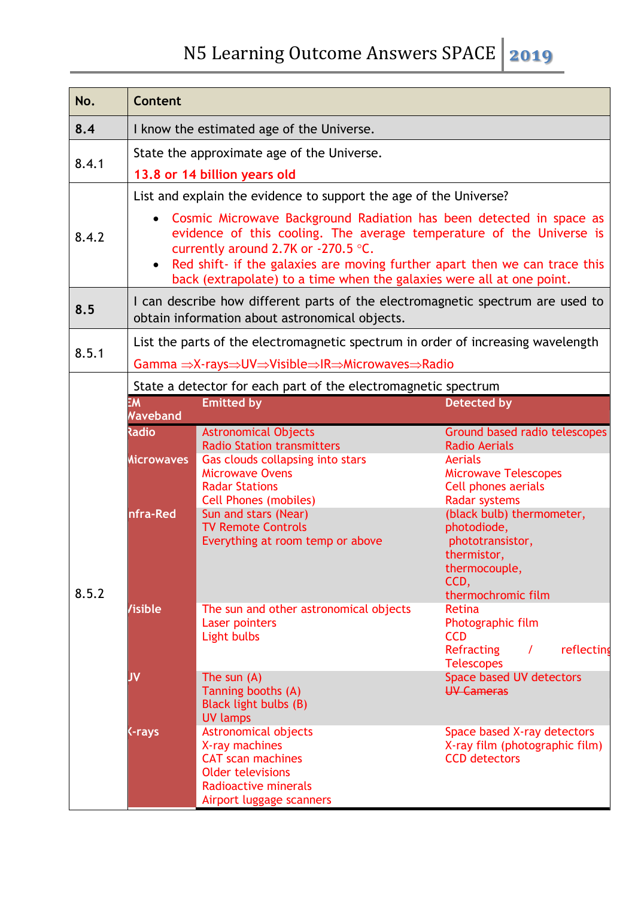| No.   | Content                                                                                                                          |                                                                                                                                                                                                                                                                                                    |                                                                                                                      |  |  |  |
|-------|----------------------------------------------------------------------------------------------------------------------------------|----------------------------------------------------------------------------------------------------------------------------------------------------------------------------------------------------------------------------------------------------------------------------------------------------|----------------------------------------------------------------------------------------------------------------------|--|--|--|
| 8.4   | I know the estimated age of the Universe.                                                                                        |                                                                                                                                                                                                                                                                                                    |                                                                                                                      |  |  |  |
| 8.4.1 | State the approximate age of the Universe.<br>13.8 or 14 billion years old                                                       |                                                                                                                                                                                                                                                                                                    |                                                                                                                      |  |  |  |
|       |                                                                                                                                  | List and explain the evidence to support the age of the Universe?                                                                                                                                                                                                                                  |                                                                                                                      |  |  |  |
| 8.4.2 | $\bullet$<br>currently around 2.7K or $-270.5$ °C.<br>$\bullet$                                                                  | Cosmic Microwave Background Radiation has been detected in space as<br>evidence of this cooling. The average temperature of the Universe is<br>Red shift- if the galaxies are moving further apart then we can trace this<br>back (extrapolate) to a time when the galaxies were all at one point. |                                                                                                                      |  |  |  |
| 8.5   | I can describe how different parts of the electromagnetic spectrum are used to<br>obtain information about astronomical objects. |                                                                                                                                                                                                                                                                                                    |                                                                                                                      |  |  |  |
| 8.5.1 | List the parts of the electromagnetic spectrum in order of increasing wavelength<br>Gamma ⇒X-rays⇒UV⇒Visible⇒IR⇒Microwaves⇒Radio |                                                                                                                                                                                                                                                                                                    |                                                                                                                      |  |  |  |
|       |                                                                                                                                  | State a detector for each part of the electromagnetic spectrum                                                                                                                                                                                                                                     |                                                                                                                      |  |  |  |
|       | EM<br><b>Naveband</b>                                                                                                            | <b>Emitted by</b>                                                                                                                                                                                                                                                                                  | <b>Detected by</b>                                                                                                   |  |  |  |
|       | <b>Radio</b>                                                                                                                     | <b>Astronomical Objects</b><br><b>Radio Station transmitters</b>                                                                                                                                                                                                                                   | Ground based radio telescopes<br><b>Radio Aerials</b>                                                                |  |  |  |
|       | <b>Microwaves</b>                                                                                                                | Gas clouds collapsing into stars<br><b>Microwave Ovens</b><br><b>Radar Stations</b>                                                                                                                                                                                                                | <b>Aerials</b><br><b>Microwave Telescopes</b><br>Cell phones aerials                                                 |  |  |  |
| 8.5.2 | nfra-Red                                                                                                                         | <b>Cell Phones (mobiles)</b><br>Sun and stars (Near)<br><b>TV Remote Controls</b><br>Everything at room temp or above                                                                                                                                                                              | <b>Radar systems</b><br>(black bulb) thermometer,<br>photodiode,<br>phototransistor,<br>thermistor,<br>thermocouple, |  |  |  |
|       |                                                                                                                                  |                                                                                                                                                                                                                                                                                                    | CCD,<br>thermochromic film                                                                                           |  |  |  |
|       | /isible                                                                                                                          | The sun and other astronomical objects<br>Laser pointers<br>Light bulbs                                                                                                                                                                                                                            | Retina<br>Photographic film<br><b>CCD</b><br>Refracting<br>reflecting<br>$\prime$<br><b>Telescopes</b>               |  |  |  |
|       | JV                                                                                                                               | The sun $(A)$<br>Tanning booths (A)<br>Black light bulbs (B)<br><b>UV lamps</b>                                                                                                                                                                                                                    | Space based UV detectors<br><b>UV Cameras</b>                                                                        |  |  |  |
|       | C-rays                                                                                                                           | <b>Astronomical objects</b><br>X-ray machines<br><b>CAT scan machines</b><br><b>Older televisions</b><br>Radioactive minerals<br>Airport luggage scanners                                                                                                                                          | Space based X-ray detectors<br>X-ray film (photographic film)<br><b>CCD</b> detectors                                |  |  |  |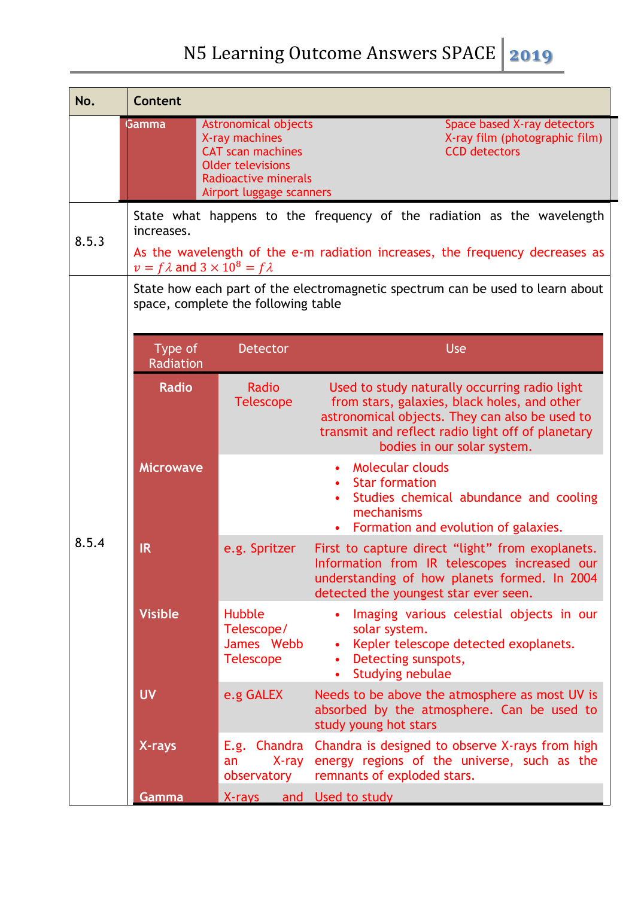| No.   | <b>Content</b>                                                                                                        |                                                                                                                                                        |                                                                                                                                                                                                                                     |
|-------|-----------------------------------------------------------------------------------------------------------------------|--------------------------------------------------------------------------------------------------------------------------------------------------------|-------------------------------------------------------------------------------------------------------------------------------------------------------------------------------------------------------------------------------------|
|       | <b>Gamma</b>                                                                                                          | Astronomical objects<br>X-ray machines<br><b>CAT scan machines</b><br><b>Older televisions</b><br>Radioactive minerals<br>Airport luggage scanners     | Space based X-ray detectors<br>X-ray film (photographic film)<br><b>CCD</b> detectors                                                                                                                                               |
| 8.5.3 | increases.                                                                                                            | State what happens to the frequency of the radiation as the wavelength<br>As the wavelength of the e-m radiation increases, the frequency decreases as |                                                                                                                                                                                                                                     |
|       | $v = f \lambda$ and $3 \times 10^8 = f \lambda$                                                                       |                                                                                                                                                        |                                                                                                                                                                                                                                     |
|       | State how each part of the electromagnetic spectrum can be used to learn about<br>space, complete the following table |                                                                                                                                                        |                                                                                                                                                                                                                                     |
|       |                                                                                                                       |                                                                                                                                                        |                                                                                                                                                                                                                                     |
|       | Type of<br>Radiation                                                                                                  | <b>Detector</b>                                                                                                                                        | Use                                                                                                                                                                                                                                 |
|       | <b>Radio</b>                                                                                                          | Radio<br><b>Telescope</b>                                                                                                                              | Used to study naturally occurring radio light<br>from stars, galaxies, black holes, and other<br>astronomical objects. They can also be used to<br>transmit and reflect radio light off of planetary<br>bodies in our solar system. |
|       | <b>Microwave</b>                                                                                                      |                                                                                                                                                        | <b>Molecular clouds</b><br>$\bullet$<br><b>Star formation</b><br>$\bullet$<br>Studies chemical abundance and cooling<br>mechanisms<br>Formation and evolution of galaxies.<br>$\bullet$                                             |
| 8.5.4 | <b>IR</b>                                                                                                             | e.g. Spritzer                                                                                                                                          | First to capture direct "light" from exoplanets.<br>Information from IR telescopes increased our<br>understanding of how planets formed. In 2004<br>detected the youngest star ever seen.                                           |
|       | <b>Visible</b>                                                                                                        | Hubble<br>Telescope/<br>James Webb<br><b>Telescope</b>                                                                                                 | Imaging various celestial objects in our<br>solar system.<br>Kepler telescope detected exoplanets.<br>Detecting sunspots,<br>Studying nebulae<br>$\bullet$                                                                          |
|       | <b>UV</b>                                                                                                             | e.g GALEX                                                                                                                                              | Needs to be above the atmosphere as most UV is<br>absorbed by the atmosphere. Can be used to<br>study young hot stars                                                                                                               |
|       | X-rays                                                                                                                | X-ray<br>an<br>observatory                                                                                                                             | E.g. Chandra Chandra is designed to observe X-rays from high<br>energy regions of the universe, such as the<br>remnants of exploded stars.                                                                                          |
|       | Gamma                                                                                                                 | X-rays and Used to study                                                                                                                               |                                                                                                                                                                                                                                     |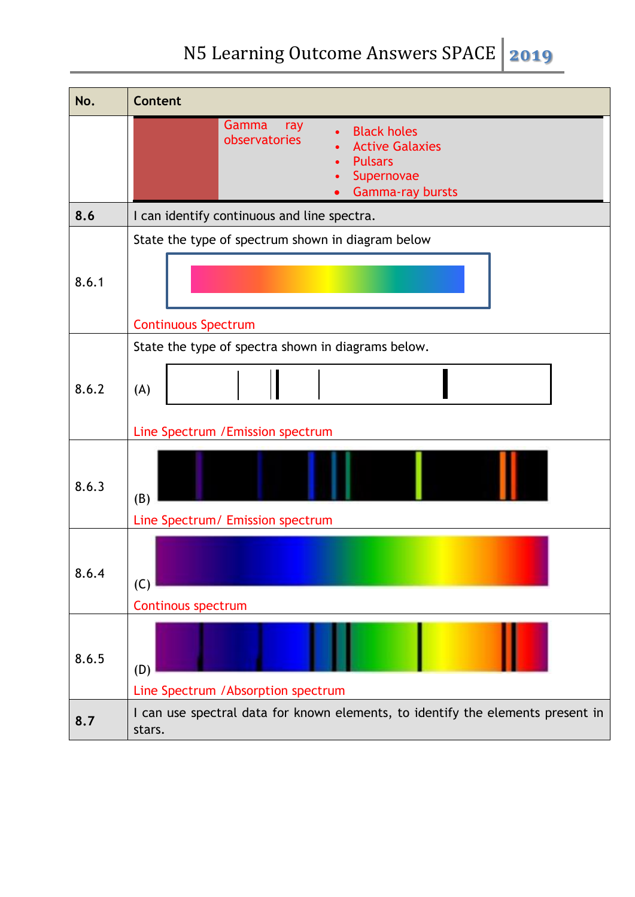| No.   | <b>Content</b>                                                                                                                    |  |  |
|-------|-----------------------------------------------------------------------------------------------------------------------------------|--|--|
|       | Gamma<br>ray<br><b>Black holes</b><br>observatories<br><b>Active Galaxies</b><br><b>Pulsars</b><br>Supernovae<br>Gamma-ray bursts |  |  |
| 8.6   | I can identify continuous and line spectra.                                                                                       |  |  |
| 8.6.1 | State the type of spectrum shown in diagram below                                                                                 |  |  |
|       | <b>Continuous Spectrum</b>                                                                                                        |  |  |
| 8.6.2 | State the type of spectra shown in diagrams below.<br>(A)                                                                         |  |  |
|       | Line Spectrum / Emission spectrum                                                                                                 |  |  |
| 8.6.3 | (B)<br>Line Spectrum/ Emission spectrum                                                                                           |  |  |
| 8.6.4 | (C)<br><b>Continous spectrum</b>                                                                                                  |  |  |
| 8.6.5 | (D)<br>Line Spectrum / Absorption spectrum                                                                                        |  |  |
| 8.7   | I can use spectral data for known elements, to identify the elements present in<br>stars.                                         |  |  |